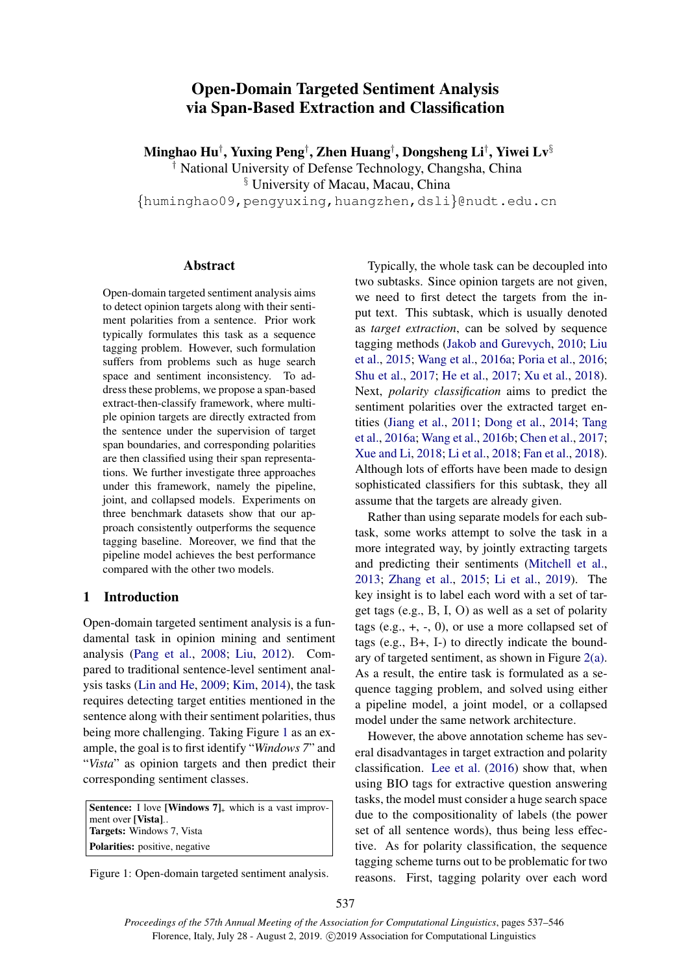# Open-Domain Targeted Sentiment Analysis via Span-Based Extraction and Classification

Minghao Hu*†* , Yuxing Peng*†* , Zhen Huang*†* , Dongsheng Li*†* , Yiwei Lv*§*

*†* National University of Defense Technology, Changsha, China

*§* University of Macau, Macau, China

*{*huminghao09,pengyuxing,huangzhen,dsli*}*@nudt.edu.cn

## Abstract

Open-domain targeted sentiment analysis aims to detect opinion targets along with their sentiment polarities from a sentence. Prior work typically formulates this task as a sequence tagging problem. However, such formulation suffers from problems such as huge search space and sentiment inconsistency. To address these problems, we propose a span-based extract-then-classify framework, where multiple opinion targets are directly extracted from the sentence under the supervision of target span boundaries, and corresponding polarities are then classified using their span representations. We further investigate three approaches under this framework, namely the pipeline, joint, and collapsed models. Experiments on three benchmark datasets show that our approach consistently outperforms the sequence tagging baseline. Moreover, we find that the pipeline model achieves the best performance compared with the other two models.

# 1 Introduction

Open-domain targeted sentiment analysis is a fundamental task in opinion mining and sentiment analysis (Pang et al., 2008; Liu, 2012). Compared to traditional sentence-level sentiment analysis tasks (Lin and He, 2009; Kim, 2014), the task requires detecting target entities mentioned in the sentence along with their sentiment polarities, thus being more challenging. Taking Figure 1 as an example, the goal is to first identify "*Windows 7*" and "*Vista*" as opinion targets and then predict their corresponding sentiment classes.

**Sentence:** I love [Windows  $7$ ]<sub>+</sub> which is a vast improvment over [Vista]-. Targets: Windows 7, Vista Polarities: positive, negative

Figure 1: Open-domain targeted sentiment analysis.

Typically, the whole task can be decoupled into two subtasks. Since opinion targets are not given, we need to first detect the targets from the input text. This subtask, which is usually denoted as *target extraction*, can be solved by sequence tagging methods (Jakob and Gurevych, 2010; Liu et al., 2015; Wang et al., 2016a; Poria et al., 2016; Shu et al., 2017; He et al., 2017; Xu et al., 2018). Next, *polarity classification* aims to predict the sentiment polarities over the extracted target entities (Jiang et al., 2011; Dong et al., 2014; Tang et al., 2016a; Wang et al., 2016b; Chen et al., 2017; Xue and Li, 2018; Li et al., 2018; Fan et al., 2018). Although lots of efforts have been made to design sophisticated classifiers for this subtask, they all assume that the targets are already given.

Rather than using separate models for each subtask, some works attempt to solve the task in a more integrated way, by jointly extracting targets and predicting their sentiments (Mitchell et al., 2013; Zhang et al., 2015; Li et al., 2019). The key insight is to label each word with a set of target tags (e.g., B, I, O) as well as a set of polarity tags (e.g.,  $+$ ,  $-$ , 0), or use a more collapsed set of tags (e.g., B+, I-) to directly indicate the boundary of targeted sentiment, as shown in Figure 2(a). As a result, the entire task is formulated as a sequence tagging problem, and solved using either a pipeline model, a joint model, or a collapsed model under the same network architecture.

However, the above annotation scheme has several disadvantages in target extraction and polarity classification. Lee et al. (2016) show that, when using BIO tags for extractive question answering tasks, the model must consider a huge search space due to the compositionality of labels (the power set of all sentence words), thus being less effective. As for polarity classification, the sequence tagging scheme turns out to be problematic for two reasons. First, tagging polarity over each word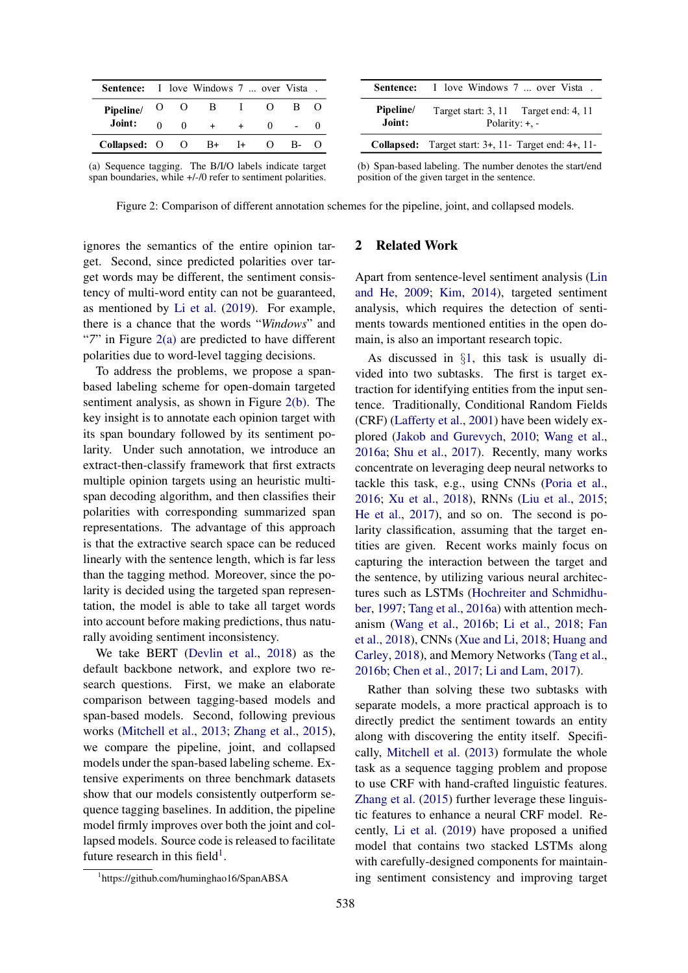| <b>Sentence:</b> I love Windows 7  over Vista. |              |             |                                 |              |  |
|------------------------------------------------|--------------|-------------|---------------------------------|--------------|--|
| Pipeline/                                      |              | $O$ $O$ $B$ | <b>Contract Contract Street</b> |              |  |
| Joint:                                         | $\mathbf{0}$ |             |                                 | $\mathbf{0}$ |  |
| Collapsed: $O$ $O$ $B+$ $I+$                   |              |             |                                 |              |  |

|                     | <b>Sentence:</b> I love Windows 7  over Vista.                        |
|---------------------|-----------------------------------------------------------------------|
| Pipeline/<br>Joint: | Target start: 3, 11 Target end: 4, 11<br>Polarity: $+, -$             |
|                     | <b>Collapsed:</b> Target start: $3+$ , $11-$ Target end: $4+$ , $11-$ |
|                     |                                                                       |

(b) Span-based labeling. The number denotes the start/end

position of the given target in the sentence.

(a) Sequence tagging. The B/I/O labels indicate target span boundaries, while  $+/-/0$  refer to sentiment polarities.

Figure 2: Comparison of different annotation schemes for the pipeline, joint, and collapsed models.

ignores the semantics of the entire opinion target. Second, since predicted polarities over target words may be different, the sentiment consistency of multi-word entity can not be guaranteed, as mentioned by Li et al. (2019). For example, there is a chance that the words "*Windows*" and "*7*" in Figure 2(a) are predicted to have different polarities due to word-level tagging decisions.

To address the problems, we propose a spanbased labeling scheme for open-domain targeted sentiment analysis, as shown in Figure 2(b). The key insight is to annotate each opinion target with its span boundary followed by its sentiment polarity. Under such annotation, we introduce an extract-then-classify framework that first extracts multiple opinion targets using an heuristic multispan decoding algorithm, and then classifies their polarities with corresponding summarized span representations. The advantage of this approach is that the extractive search space can be reduced linearly with the sentence length, which is far less than the tagging method. Moreover, since the polarity is decided using the targeted span representation, the model is able to take all target words into account before making predictions, thus naturally avoiding sentiment inconsistency.

We take BERT (Devlin et al., 2018) as the default backbone network, and explore two research questions. First, we make an elaborate comparison between tagging-based models and span-based models. Second, following previous works (Mitchell et al., 2013; Zhang et al., 2015), we compare the pipeline, joint, and collapsed models under the span-based labeling scheme. Extensive experiments on three benchmark datasets show that our models consistently outperform sequence tagging baselines. In addition, the pipeline model firmly improves over both the joint and collapsed models. Source code is released to facilitate future research in this field<sup>1</sup>.

# 2 Related Work

Apart from sentence-level sentiment analysis (Lin and He, 2009; Kim, 2014), targeted sentiment analysis, which requires the detection of sentiments towards mentioned entities in the open domain, is also an important research topic.

As discussed in *§*1, this task is usually divided into two subtasks. The first is target extraction for identifying entities from the input sentence. Traditionally, Conditional Random Fields (CRF) (Lafferty et al., 2001) have been widely explored (Jakob and Gurevych, 2010; Wang et al., 2016a; Shu et al., 2017). Recently, many works concentrate on leveraging deep neural networks to tackle this task, e.g., using CNNs (Poria et al., 2016; Xu et al., 2018), RNNs (Liu et al., 2015; He et al., 2017), and so on. The second is polarity classification, assuming that the target entities are given. Recent works mainly focus on capturing the interaction between the target and the sentence, by utilizing various neural architectures such as LSTMs (Hochreiter and Schmidhuber, 1997; Tang et al., 2016a) with attention mechanism (Wang et al., 2016b; Li et al., 2018; Fan et al., 2018), CNNs (Xue and Li, 2018; Huang and Carley, 2018), and Memory Networks (Tang et al., 2016b; Chen et al., 2017; Li and Lam, 2017).

Rather than solving these two subtasks with separate models, a more practical approach is to directly predict the sentiment towards an entity along with discovering the entity itself. Specifically, Mitchell et al. (2013) formulate the whole task as a sequence tagging problem and propose to use CRF with hand-crafted linguistic features. Zhang et al. (2015) further leverage these linguistic features to enhance a neural CRF model. Recently, Li et al. (2019) have proposed a unified model that contains two stacked LSTMs along with carefully-designed components for maintaining sentiment consistency and improving target

<sup>1</sup> https://github.com/huminghao16/SpanABSA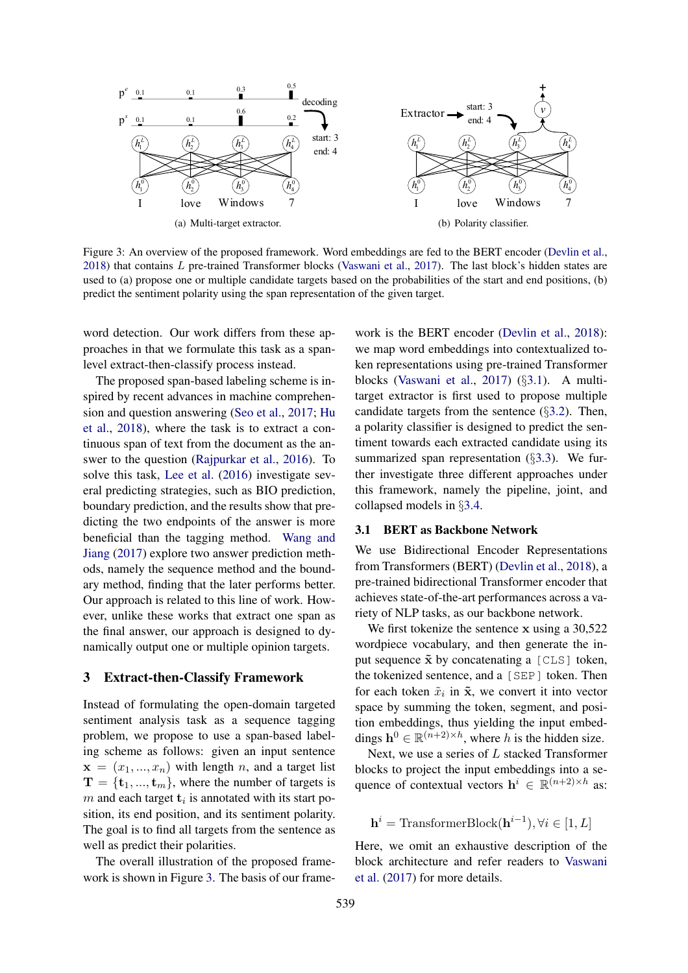

Figure 3: An overview of the proposed framework. Word embeddings are fed to the BERT encoder (Devlin et al., 2018) that contains *L* pre-trained Transformer blocks (Vaswani et al., 2017). The last block's hidden states are used to (a) propose one or multiple candidate targets based on the probabilities of the start and end positions, (b) predict the sentiment polarity using the span representation of the given target.

word detection. Our work differs from these approaches in that we formulate this task as a spanlevel extract-then-classify process instead.

The proposed span-based labeling scheme is inspired by recent advances in machine comprehension and question answering (Seo et al., 2017; Hu et al., 2018), where the task is to extract a continuous span of text from the document as the answer to the question (Rajpurkar et al., 2016). To solve this task, Lee et al. (2016) investigate several predicting strategies, such as BIO prediction, boundary prediction, and the results show that predicting the two endpoints of the answer is more beneficial than the tagging method. Wang and Jiang (2017) explore two answer prediction methods, namely the sequence method and the boundary method, finding that the later performs better. Our approach is related to this line of work. However, unlike these works that extract one span as the final answer, our approach is designed to dynamically output one or multiple opinion targets.

#### 3 Extract-then-Classify Framework

Instead of formulating the open-domain targeted sentiment analysis task as a sequence tagging problem, we propose to use a span-based labeling scheme as follows: given an input sentence  $\mathbf{x} = (x_1, ..., x_n)$  with length *n*, and a target list  $\mathbf{T} = {\mathbf{t}_1, ..., \mathbf{t}_m}$ , where the number of targets is *m* and each target  $t_i$  is annotated with its start position, its end position, and its sentiment polarity. The goal is to find all targets from the sentence as well as predict their polarities.

The overall illustration of the proposed framework is shown in Figure 3. The basis of our frame-

work is the BERT encoder (Devlin et al., 2018): we map word embeddings into contextualized token representations using pre-trained Transformer blocks (Vaswani et al., 2017) (*§*3.1). A multitarget extractor is first used to propose multiple candidate targets from the sentence (*§*3.2). Then, a polarity classifier is designed to predict the sentiment towards each extracted candidate using its summarized span representation (*§*3.3). We further investigate three different approaches under this framework, namely the pipeline, joint, and collapsed models in *§*3.4.

## 3.1 BERT as Backbone Network

We use Bidirectional Encoder Representations from Transformers (BERT) (Devlin et al., 2018), a pre-trained bidirectional Transformer encoder that achieves state-of-the-art performances across a variety of NLP tasks, as our backbone network.

We first tokenize the sentence x using a 30,522 wordpiece vocabulary, and then generate the input sequence  $\tilde{x}$  by concatenating a  $[CLS]$  token, the tokenized sentence, and a [SEP] token. Then for each token  $\tilde{x}_i$  in  $\tilde{x}_i$ , we convert it into vector space by summing the token, segment, and position embeddings, thus yielding the input embeddings  $h^0 \in \mathbb{R}^{(n+2) \times h}$ , where *h* is the hidden size.

Next, we use a series of *L* stacked Transformer blocks to project the input embeddings into a sequence of contextual vectors  $h^{i} \in \mathbb{R}^{(n+2)\times h}$  as:

 $h^{i}$  = TransformerBlock( $h^{i-1}$ ),  $\forall i \in [1, L]$ 

Here, we omit an exhaustive description of the block architecture and refer readers to Vaswani et al. (2017) for more details.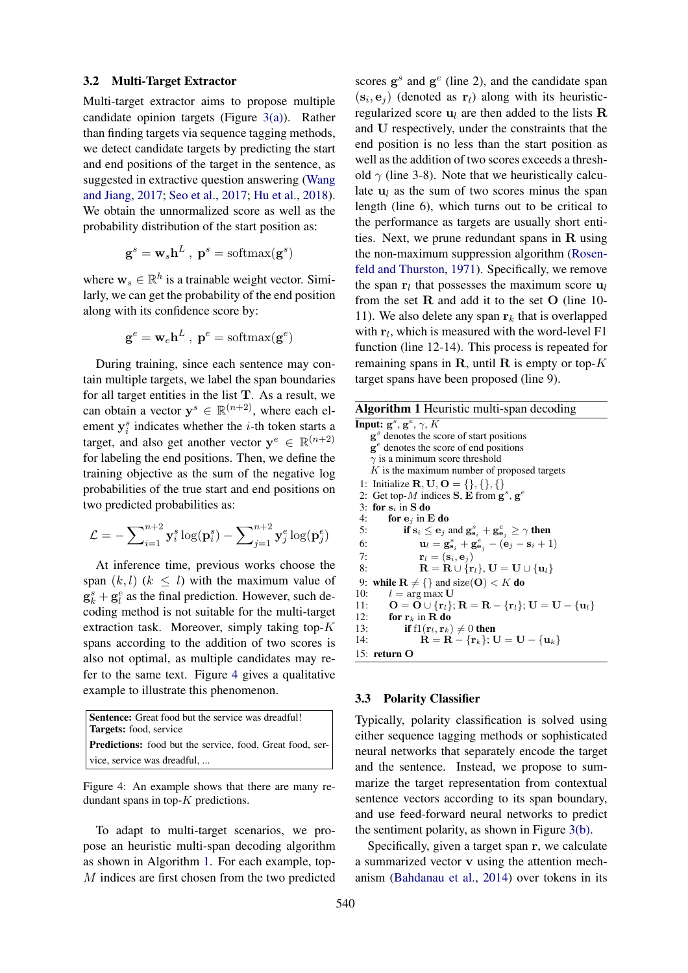## 3.2 Multi-Target Extractor

Multi-target extractor aims to propose multiple candidate opinion targets (Figure 3(a)). Rather than finding targets via sequence tagging methods, we detect candidate targets by predicting the start and end positions of the target in the sentence, as suggested in extractive question answering (Wang and Jiang, 2017; Seo et al., 2017; Hu et al., 2018). We obtain the unnormalized score as well as the probability distribution of the start position as:

$$
\mathbf{g}^s = \mathbf{w}_s \mathbf{h}^L , \mathbf{p}^s = \text{softmax}(\mathbf{g}^s)
$$

where  $\mathbf{w}_s \in \mathbb{R}^h$  is a trainable weight vector. Similarly, we can get the probability of the end position along with its confidence score by:

$$
\mathbf{g}^e = \mathbf{w}_e \mathbf{h}^L \ , \ \mathbf{p}^e = \text{softmax}(\mathbf{g}^e)
$$

During training, since each sentence may contain multiple targets, we label the span boundaries for all target entities in the list  $T$ . As a result, we can obtain a vector  $y^{s} \in \mathbb{R}^{(n+2)}$ , where each element  $y_i^s$  indicates whether the *i*-th token starts a target, and also get another vector  $y^e \in \mathbb{R}^{(n+2)}$ for labeling the end positions. Then, we define the training objective as the sum of the negative log probabilities of the true start and end positions on two predicted probabilities as:

$$
\mathcal{L} = -\sum_{i=1}^{n+2} \mathbf{y}_i^s \log(\mathbf{p}_i^s) - \sum_{j=1}^{n+2} \mathbf{y}_j^e \log(\mathbf{p}_j^e)
$$

At inference time, previous works choose the span  $(k, l)$   $(k \leq l)$  with the maximum value of  $\mathbf{g}_k^s + \mathbf{g}_l^e$  as the final prediction. However, such decoding method is not suitable for the multi-target extraction task. Moreover, simply taking top-*K* spans according to the addition of two scores is also not optimal, as multiple candidates may refer to the same text. Figure 4 gives a qualitative example to illustrate this phenomenon.

| <b>Sentence:</b> Great food but the service was dreadful!        |  |  |  |  |
|------------------------------------------------------------------|--|--|--|--|
| <b>Targets:</b> food, service                                    |  |  |  |  |
| <b>Predictions:</b> food but the service, food, Great food, ser- |  |  |  |  |
| vice, service was dreadful,                                      |  |  |  |  |

Figure 4: An example shows that there are many redundant spans in top-*K* predictions.

To adapt to multi-target scenarios, we propose an heuristic multi-span decoding algorithm as shown in Algorithm 1. For each example, top-*M* indices are first chosen from the two predicted

scores g*<sup>s</sup>* and g*<sup>e</sup>* (line 2), and the candidate span  $(\mathbf{s}_i, \mathbf{e}_j)$  (denoted as  $\mathbf{r}_l$ ) along with its heuristicregularized score  $\mathbf{u}_l$  are then added to the lists  $\mathbf{R}$ and U respectively, under the constraints that the end position is no less than the start position as well as the addition of two scores exceeds a threshold  $\gamma$  (line 3-8). Note that we heuristically calculate  $u_l$  as the sum of two scores minus the span length (line 6), which turns out to be critical to the performance as targets are usually short entities. Next, we prune redundant spans in R using the non-maximum suppression algorithm (Rosenfeld and Thurston, 1971). Specifically, we remove the span  $r_l$  that possesses the maximum score  $u_l$ from the set  $R$  and add it to the set  $O$  (line 10-11). We also delete any span  $r_k$  that is overlapped with  $r_l$ , which is measured with the word-level F1 function (line 12-14). This process is repeated for remaining spans in R, until R is empty or top-*K* target spans have been proposed (line 9).

| <b>Algorithm 1 Heuristic multi-span decoding</b>                                                                                                     |  |  |  |  |
|------------------------------------------------------------------------------------------------------------------------------------------------------|--|--|--|--|
| Input: $g^s$ , $g^e$ , $\gamma$ , K                                                                                                                  |  |  |  |  |
| $\mathbf{g}^s$ denotes the score of start positions                                                                                                  |  |  |  |  |
| $\mathbf{g}^e$ denotes the score of end positions                                                                                                    |  |  |  |  |
| $\gamma$ is a minimum score threshold                                                                                                                |  |  |  |  |
| $K$ is the maximum number of proposed targets                                                                                                        |  |  |  |  |
| 1: Initialize $\mathbf{R}, \mathbf{U}, \mathbf{O} = \{\}, \{\}, \{\}$                                                                                |  |  |  |  |
| 2: Get top-M indices $S$ , E from $g^s$ , $g^e$                                                                                                      |  |  |  |  |
| 3: for $s_i$ in S do                                                                                                                                 |  |  |  |  |
| for $e_i$ in E do<br>4:                                                                                                                              |  |  |  |  |
| if $s_i \leq e_j$ and $g_{s_i}^s + g_{e_j}^e \geq \gamma$ then<br>5:                                                                                 |  |  |  |  |
| $\mathbf{u}_l = \mathbf{g}_{\mathbf{s}_i}^s + \mathbf{g}_{\mathbf{e}_j}^e - (\mathbf{e}_j - \mathbf{s}_i + 1)$<br>6:                                 |  |  |  |  |
| $\mathbf{r}_l = (\mathbf{s}_i, \mathbf{e}_i)$<br>7:                                                                                                  |  |  |  |  |
| $\mathbf{R} = \mathbf{R} \cup \{\mathbf{r}_l\}, \mathbf{U} = \mathbf{U} \cup \{\mathbf{u}_l\}$<br>8:                                                 |  |  |  |  |
| while $\mathbf{R} \neq \{\}$ and size( <b>O</b> ) < K do<br>9:                                                                                       |  |  |  |  |
| $l = \arg \max \mathbf{U}$<br>10:                                                                                                                    |  |  |  |  |
| $\mathbf{O} = \mathbf{O} \cup \{ \mathbf{r}_l \}; \mathbf{R} = \mathbf{R} - \{ \mathbf{r}_l \}; \mathbf{U} = \mathbf{U} - \{ \mathbf{u}_l \}$<br>11: |  |  |  |  |
| 12:<br>for $r_k$ in R do                                                                                                                             |  |  |  |  |
| 13:<br>if $f1(r_l, r_k) \neq 0$ then                                                                                                                 |  |  |  |  |
| $\mathbf{R} = \mathbf{R} - {\mathbf{r}_k}; \mathbf{U} = \mathbf{U} - {\mathbf{u}_k}$<br>14:                                                          |  |  |  |  |
| 15: return O                                                                                                                                         |  |  |  |  |

## 3.3 Polarity Classifier

Typically, polarity classification is solved using either sequence tagging methods or sophisticated neural networks that separately encode the target and the sentence. Instead, we propose to summarize the target representation from contextual sentence vectors according to its span boundary, and use feed-forward neural networks to predict the sentiment polarity, as shown in Figure 3(b).

Specifically, given a target span r, we calculate a summarized vector v using the attention mechanism (Bahdanau et al., 2014) over tokens in its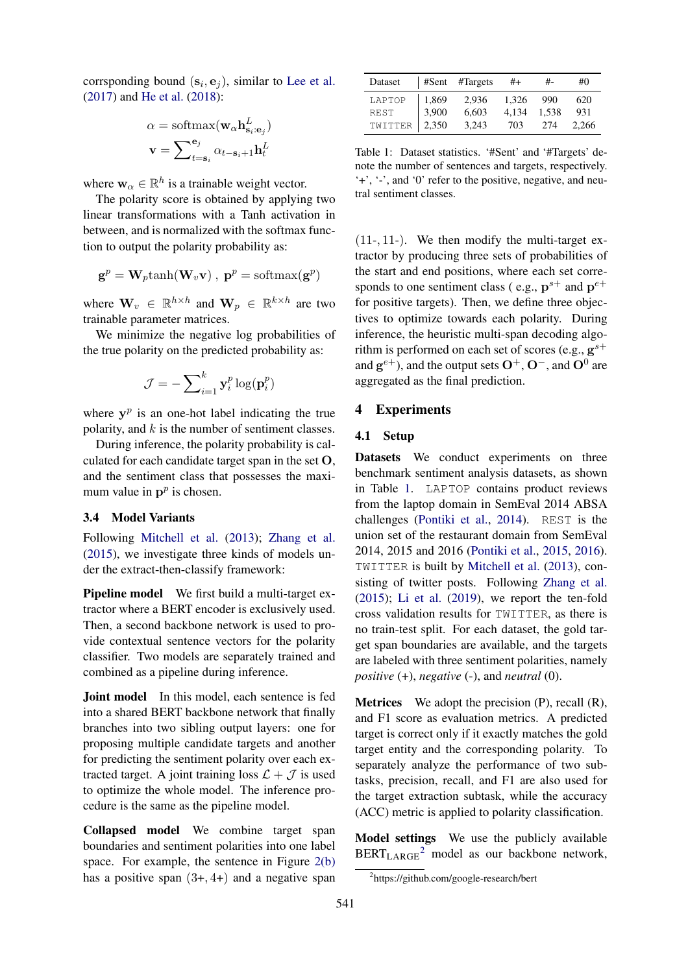corrsponding bound  $(\mathbf{s}_i, \mathbf{e}_j)$ , similar to Lee et al. (2017) and He et al. (2018):

$$
\alpha = \text{softmax}(\mathbf{w}_{\alpha} \mathbf{h}_{\mathbf{s}_i : \mathbf{e}_j}^L)
$$

$$
\mathbf{v} = \sum_{t = \mathbf{s}_i}^{\mathbf{e}_j} \alpha_{t - \mathbf{s}_i + 1} \mathbf{h}_t^L
$$

where  $\mathbf{w}_{\alpha} \in \mathbb{R}^{h}$  is a trainable weight vector.

The polarity score is obtained by applying two linear transformations with a Tanh activation in between, and is normalized with the softmax function to output the polarity probability as:

$$
\mathbf{g}^p = \mathbf{W}_p \text{tanh}(\mathbf{W}_v \mathbf{v}), \ \mathbf{p}^p = \text{softmax}(\mathbf{g}^p)
$$

where  $\mathbf{W}_v \in \mathbb{R}^{h \times h}$  and  $\mathbf{W}_p \in \mathbb{R}^{k \times h}$  are two trainable parameter matrices.

We minimize the negative log probabilities of the true polarity on the predicted probability as:

$$
\mathcal{J} = -\sum\nolimits_{i=1}^k \mathbf{y}_i^p \log(\mathbf{p}_i^p)
$$

where  $y^p$  is an one-hot label indicating the true polarity, and *k* is the number of sentiment classes.

During inference, the polarity probability is calculated for each candidate target span in the set O, and the sentiment class that possesses the maximum value in  $p^p$  is chosen.

# 3.4 Model Variants

Following Mitchell et al. (2013); Zhang et al. (2015), we investigate three kinds of models under the extract-then-classify framework:

Pipeline model We first build a multi-target extractor where a BERT encoder is exclusively used. Then, a second backbone network is used to provide contextual sentence vectors for the polarity classifier. Two models are separately trained and combined as a pipeline during inference.

**Joint model** In this model, each sentence is fed into a shared BERT backbone network that finally branches into two sibling output layers: one for proposing multiple candidate targets and another for predicting the sentiment polarity over each extracted target. A joint training loss  $\mathcal{L} + \mathcal{J}$  is used to optimize the whole model. The inference procedure is the same as the pipeline model.

Collapsed model We combine target span boundaries and sentiment polarities into one label space. For example, the sentence in Figure 2(b) has a positive span (3+*,* 4+) and a negative span

| Dataset         |         | $\#Sent$ #Targets | $#+$  | #           | #0    |
|-----------------|---------|-------------------|-------|-------------|-------|
| LAPTOP          | $1,869$ | 2,936             | 1.326 | -990        | 620   |
| <b>REST</b>     | 3,900   | 6,603             |       | 4,134 1,538 | 931   |
| TWITTER   2,350 |         | 3,243             | 703   | 274         | 2.266 |

Table 1: Dataset statistics. '#Sent' and '#Targets' denote the number of sentences and targets, respectively. '+', '-', and '0' refer to the positive, negative, and neutral sentiment classes.

(11-*,* 11-). We then modify the multi-target extractor by producing three sets of probabilities of the start and end positions, where each set corresponds to one sentiment class (e.g.,  $p^{s+}$  and  $p^{e+}$ for positive targets). Then, we define three objectives to optimize towards each polarity. During inference, the heuristic multi-span decoding algorithm is performed on each set of scores (e.g.,  $g^{s+}$ ) and  $g^{e+}$ ), and the output sets  $O^+$ ,  $O^-$ , and  $O^0$  are aggregated as the final prediction.

# 4 Experiments

# 4.1 Setup

Datasets We conduct experiments on three benchmark sentiment analysis datasets, as shown in Table 1. LAPTOP contains product reviews from the laptop domain in SemEval 2014 ABSA challenges (Pontiki et al., 2014). REST is the union set of the restaurant domain from SemEval 2014, 2015 and 2016 (Pontiki et al., 2015, 2016). TWITTER is built by Mitchell et al. (2013), consisting of twitter posts. Following Zhang et al. (2015); Li et al. (2019), we report the ten-fold cross validation results for TWITTER, as there is no train-test split. For each dataset, the gold target span boundaries are available, and the targets are labeled with three sentiment polarities, namely *positive* (+), *negative* (-), and *neutral* (0).

**Metrices** We adopt the precision  $(P)$ , recall  $(R)$ , and F1 score as evaluation metrics. A predicted target is correct only if it exactly matches the gold target entity and the corresponding polarity. To separately analyze the performance of two subtasks, precision, recall, and F1 are also used for the target extraction subtask, while the accuracy (ACC) metric is applied to polarity classification.

Model settings We use the publicly available  $BERT_{LARGE}^2$  model as our backbone network,

<sup>&</sup>lt;sup>2</sup>https://github.com/google-research/bert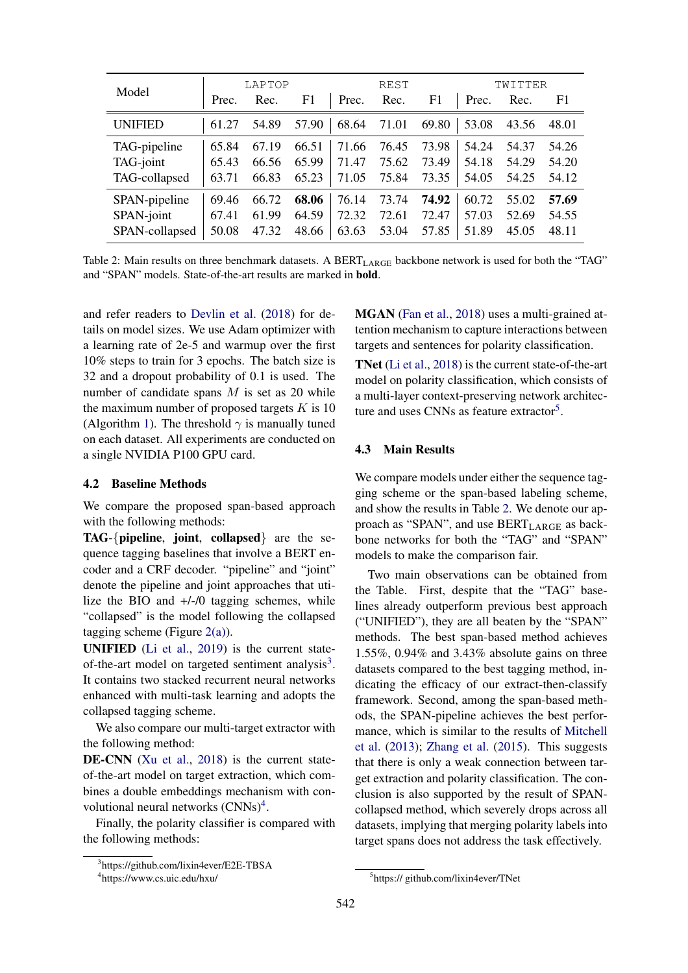|                |       | LAPTOP |       |       | <b>REST</b> |       |       | TWITTER |       |
|----------------|-------|--------|-------|-------|-------------|-------|-------|---------|-------|
| Model          | Prec. | Rec.   | F1    | Prec. | Rec.        | F1    | Prec. | Rec.    | F1    |
| <b>UNIFIED</b> | 61.27 | 54.89  | 57.90 | 68.64 | 71.01       | 69.80 | 53.08 | 43.56   | 48.01 |
| TAG-pipeline   | 65.84 | 67.19  | 66.51 | 71.66 | 76.45       | 73.98 | 54.24 | 54.37   | 54.26 |
| TAG-joint      | 65.43 | 66.56  | 65.99 | 71.47 | 75.62       | 73.49 | 54.18 | 54.29   | 54.20 |
| TAG-collapsed  | 63.71 | 66.83  | 65.23 | 71.05 | 75.84       | 73.35 | 54.05 | 54.25   | 54.12 |
| SPAN-pipeline  | 69.46 | 66.72  | 68.06 | 76.14 | 73.74       | 74.92 | 60.72 | 55.02   | 57.69 |
| SPAN-joint     | 67.41 | 61.99  | 64.59 | 72.32 | 72.61       | 72.47 | 57.03 | 52.69   | 54.55 |
| SPAN-collapsed | 50.08 | 47.32  | 48.66 | 63.63 | 53.04       | 57.85 | 51.89 | 45.05   | 48.11 |

Table 2: Main results on three benchmark datasets. A BERT<sub>LARGE</sub> backbone network is used for both the "TAG" and "SPAN" models. State-of-the-art results are marked in bold.

and refer readers to Devlin et al. (2018) for details on model sizes. We use Adam optimizer with a learning rate of 2e-5 and warmup over the first 10% steps to train for 3 epochs. The batch size is 32 and a dropout probability of 0.1 is used. The number of candidate spans *M* is set as 20 while the maximum number of proposed targets *K* is 10 (Algorithm 1). The threshold  $\gamma$  is manually tuned on each dataset. All experiments are conducted on a single NVIDIA P100 GPU card.

#### 4.2 Baseline Methods

We compare the proposed span-based approach with the following methods:

TAG-*{*pipeline, joint, collapsed*}* are the sequence tagging baselines that involve a BERT encoder and a CRF decoder. "pipeline" and "joint" denote the pipeline and joint approaches that utilize the BIO and +/-/0 tagging schemes, while "collapsed" is the model following the collapsed tagging scheme (Figure  $2(a)$ ).

UNIFIED (Li et al., 2019) is the current stateof-the-art model on targeted sentiment analysis $3$ . It contains two stacked recurrent neural networks enhanced with multi-task learning and adopts the collapsed tagging scheme.

We also compare our multi-target extractor with the following method:

DE-CNN (Xu et al., 2018) is the current stateof-the-art model on target extraction, which combines a double embeddings mechanism with convolutional neural networks  $(CNNs)^4$ .

Finally, the polarity classifier is compared with the following methods:

MGAN (Fan et al., 2018) uses a multi-grained attention mechanism to capture interactions between targets and sentences for polarity classification.

TNet (Li et al., 2018) is the current state-of-the-art model on polarity classification, which consists of a multi-layer context-preserving network architecture and uses CNNs as feature extractor<sup>5</sup>.

# 4.3 Main Results

We compare models under either the sequence tagging scheme or the span-based labeling scheme, and show the results in Table 2. We denote our approach as "SPAN", and use  $BERT_{LARGE}$  as backbone networks for both the "TAG" and "SPAN" models to make the comparison fair.

Two main observations can be obtained from the Table. First, despite that the "TAG" baselines already outperform previous best approach ("UNIFIED"), they are all beaten by the "SPAN" methods. The best span-based method achieves 1.55%, 0.94% and 3.43% absolute gains on three datasets compared to the best tagging method, indicating the efficacy of our extract-then-classify framework. Second, among the span-based methods, the SPAN-pipeline achieves the best performance, which is similar to the results of Mitchell et al. (2013); Zhang et al. (2015). This suggests that there is only a weak connection between target extraction and polarity classification. The conclusion is also supported by the result of SPANcollapsed method, which severely drops across all datasets, implying that merging polarity labels into target spans does not address the task effectively.

<sup>3</sup> https://github.com/lixin4ever/E2E-TBSA

<sup>4</sup> https://www.cs.uic.edu/hxu/

<sup>5</sup> https:// github.com/lixin4ever/TNet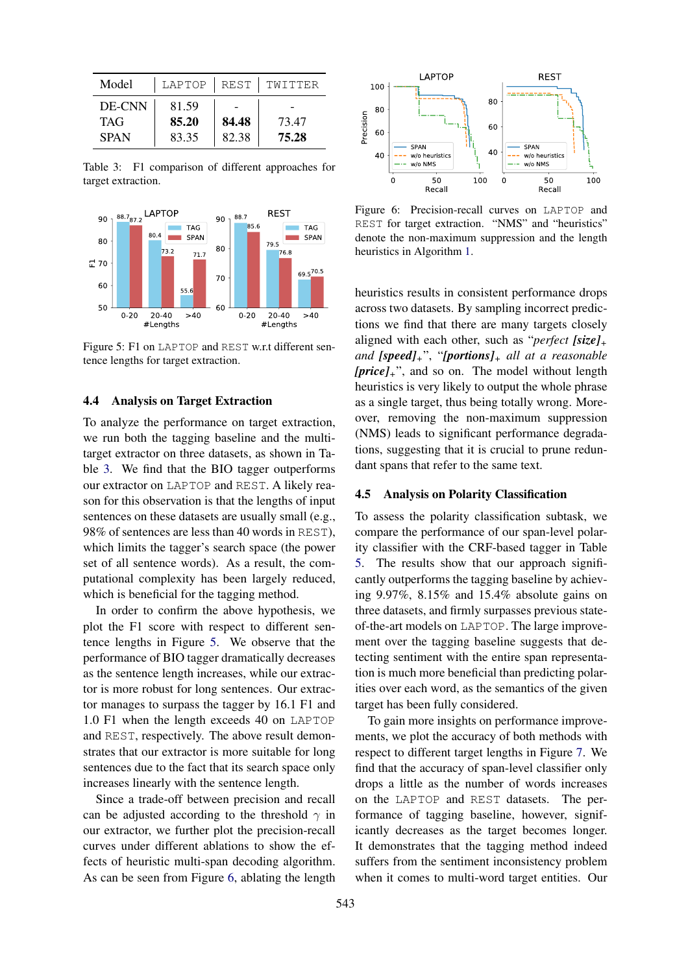| Model                               |                         |                | LAPTOP   REST   TWITTER |  |
|-------------------------------------|-------------------------|----------------|-------------------------|--|
| DE-CNN<br><b>TAG</b><br><b>SPAN</b> | 81.59<br>85.20<br>83.35 | 84.48<br>82.38 | 73.47<br>75.28          |  |

Table 3: F1 comparison of different approaches for target extraction.



Figure 5: F1 on LAPTOP and REST w.r.t different sentence lengths for target extraction.

#### 4.4 Analysis on Target Extraction

To analyze the performance on target extraction, we run both the tagging baseline and the multitarget extractor on three datasets, as shown in Table 3. We find that the BIO tagger outperforms our extractor on LAPTOP and REST. A likely reason for this observation is that the lengths of input sentences on these datasets are usually small (e.g., 98% of sentences are less than 40 words in REST), which limits the tagger's search space (the power set of all sentence words). As a result, the computational complexity has been largely reduced, which is beneficial for the tagging method.

In order to confirm the above hypothesis, we plot the F1 score with respect to different sentence lengths in Figure 5. We observe that the performance of BIO tagger dramatically decreases as the sentence length increases, while our extractor is more robust for long sentences. Our extractor manages to surpass the tagger by 16.1 F1 and 1.0 F1 when the length exceeds 40 on LAPTOP and REST, respectively. The above result demonstrates that our extractor is more suitable for long sentences due to the fact that its search space only increases linearly with the sentence length.

Since a trade-off between precision and recall can be adjusted according to the threshold  $\gamma$  in our extractor, we further plot the precision-recall curves under different ablations to show the effects of heuristic multi-span decoding algorithm. As can be seen from Figure 6, ablating the length



Figure 6: Precision-recall curves on LAPTOP and REST for target extraction. "NMS" and "heuristics" denote the non-maximum suppression and the length heuristics in Algorithm 1.

heuristics results in consistent performance drops across two datasets. By sampling incorrect predictions we find that there are many targets closely aligned with each other, such as "*perfect [size]<sup>+</sup> and [speed]+*", "*[portions]<sup>+</sup> all at a reasonable [price]+*", and so on. The model without length heuristics is very likely to output the whole phrase as a single target, thus being totally wrong. Moreover, removing the non-maximum suppression (NMS) leads to significant performance degradations, suggesting that it is crucial to prune redundant spans that refer to the same text.

## 4.5 Analysis on Polarity Classification

To assess the polarity classification subtask, we compare the performance of our span-level polarity classifier with the CRF-based tagger in Table 5. The results show that our approach significantly outperforms the tagging baseline by achieving 9.97%, 8.15% and 15.4% absolute gains on three datasets, and firmly surpasses previous stateof-the-art models on LAPTOP. The large improvement over the tagging baseline suggests that detecting sentiment with the entire span representation is much more beneficial than predicting polarities over each word, as the semantics of the given target has been fully considered.

To gain more insights on performance improvements, we plot the accuracy of both methods with respect to different target lengths in Figure 7. We find that the accuracy of span-level classifier only drops a little as the number of words increases on the LAPTOP and REST datasets. The performance of tagging baseline, however, significantly decreases as the target becomes longer. It demonstrates that the tagging method indeed suffers from the sentiment inconsistency problem when it comes to multi-word target entities. Our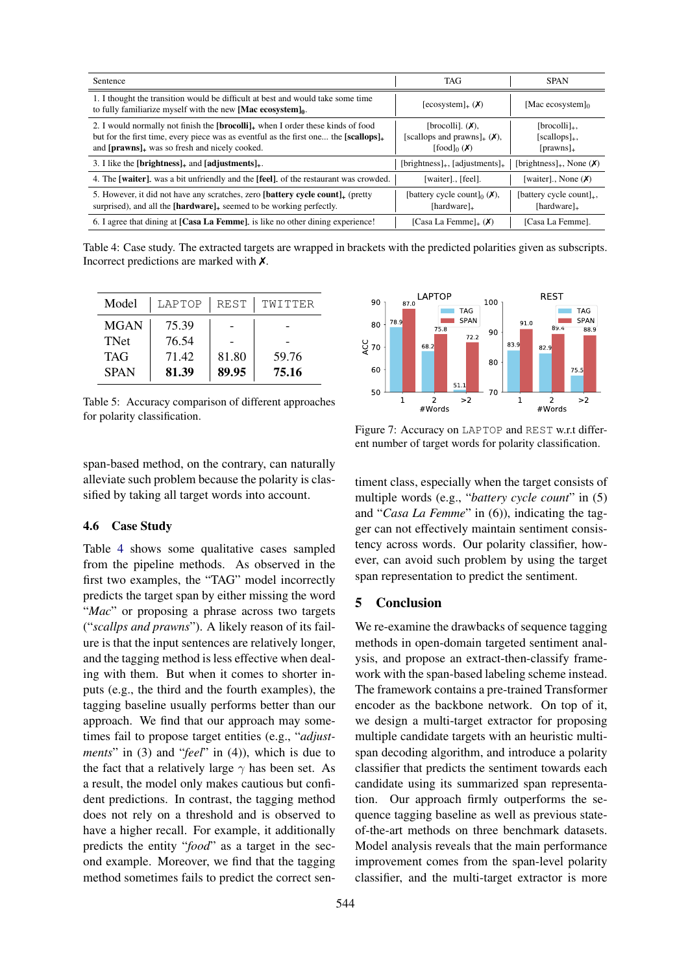| Sentence                                                                                                                                                                                                                                           | <b>TAG</b>                                                              | <b>SPAN</b>                                              |
|----------------------------------------------------------------------------------------------------------------------------------------------------------------------------------------------------------------------------------------------------|-------------------------------------------------------------------------|----------------------------------------------------------|
| 1. I thought the transition would be difficult at best and would take some time<br>to fully familiarize myself with the new [Mac ecosystem] $_0$ .                                                                                                 | $[ecosystem]_{+}(\boldsymbol{X})$                                       | [Mac ecosystem] $0$                                      |
| 2. I would normally not finish the $[brocoll]_+$ when I order these kinds of food<br>but for the first time, every piece was as eventful as the first one the [scallops] <sub>+</sub><br>and [prawns] <sub>+</sub> was so fresh and nicely cooked. | [brocolli]. $(X)$ ,<br>[scallops and prawns] $_+(X)$ ,<br>$[food]_0(X)$ | $[brocolli]_{+}$<br>$[scallops]_{+}$ ,<br>$[prawns]_{+}$ |
| 3. I like the [brightness] <sub>+</sub> and [adjustments] <sub>+</sub> .                                                                                                                                                                           | $[brightness]_{+}$ , $[adjustments]_{+}$                                | [brightness] <sub>+</sub> , None $(X)$                   |
| 4. The [waiter], was a bit unfriendly and the [feel], of the restaurant was crowded.                                                                                                                                                               | [waiter], [feel].                                                       | [waiter] None $(X)$                                      |
| 5. However, it did not have any scratches, zero [battery cycle count] <sub>+</sub> (pretty<br>surprised), and all the $[hardware]_+$ seemed to be working perfectly.                                                                               | [battery cycle count] <sub>0</sub> $(X)$ ,<br>[hardware] $_{+}$         | [battery cycle count] $_{+}$ ,<br>[hardware] $_{+}$      |
| 6. I agree that dining at [Casa La Femme], is like no other dining experience!                                                                                                                                                                     | [Casa La Femme] $_+(X)$                                                 | [Casa La Femme].                                         |

Table 4: Case study. The extracted targets are wrapped in brackets with the predicted polarities given as subscripts. Incorrect predictions are marked with  $\chi$ .

| Model       | LAPTOP | <b>REST</b> | TWITTER |
|-------------|--------|-------------|---------|
| <b>MGAN</b> | 75.39  |             |         |
| <b>TNet</b> | 76.54  |             |         |
| <b>TAG</b>  | 71.42  | 81.80       | 59.76   |
| <b>SPAN</b> | 81.39  | 89.95       | 75.16   |

Table 5: Accuracy comparison of different approaches for polarity classification.

span-based method, on the contrary, can naturally alleviate such problem because the polarity is classified by taking all target words into account.

# 4.6 Case Study

Table 4 shows some qualitative cases sampled from the pipeline methods. As observed in the first two examples, the "TAG" model incorrectly predicts the target span by either missing the word "*Mac*" or proposing a phrase across two targets ("*scallps and prawns*"). A likely reason of its failure is that the input sentences are relatively longer, and the tagging method is less effective when dealing with them. But when it comes to shorter inputs (e.g., the third and the fourth examples), the tagging baseline usually performs better than our approach. We find that our approach may sometimes fail to propose target entities (e.g., "*adjustments*" in (3) and "*feel*" in (4)), which is due to the fact that a relatively large  $\gamma$  has been set. As a result, the model only makes cautious but confident predictions. In contrast, the tagging method does not rely on a threshold and is observed to have a higher recall. For example, it additionally predicts the entity "*food*" as a target in the second example. Moreover, we find that the tagging method sometimes fails to predict the correct sen-



Figure 7: Accuracy on LAPTOP and REST w.r.t different number of target words for polarity classification.

timent class, especially when the target consists of multiple words (e.g., "*battery cycle count*" in (5) and "*Casa La Femme*" in (6)), indicating the tagger can not effectively maintain sentiment consistency across words. Our polarity classifier, however, can avoid such problem by using the target span representation to predict the sentiment.

# 5 Conclusion

We re-examine the drawbacks of sequence tagging methods in open-domain targeted sentiment analysis, and propose an extract-then-classify framework with the span-based labeling scheme instead. The framework contains a pre-trained Transformer encoder as the backbone network. On top of it, we design a multi-target extractor for proposing multiple candidate targets with an heuristic multispan decoding algorithm, and introduce a polarity classifier that predicts the sentiment towards each candidate using its summarized span representation. Our approach firmly outperforms the sequence tagging baseline as well as previous stateof-the-art methods on three benchmark datasets. Model analysis reveals that the main performance improvement comes from the span-level polarity classifier, and the multi-target extractor is more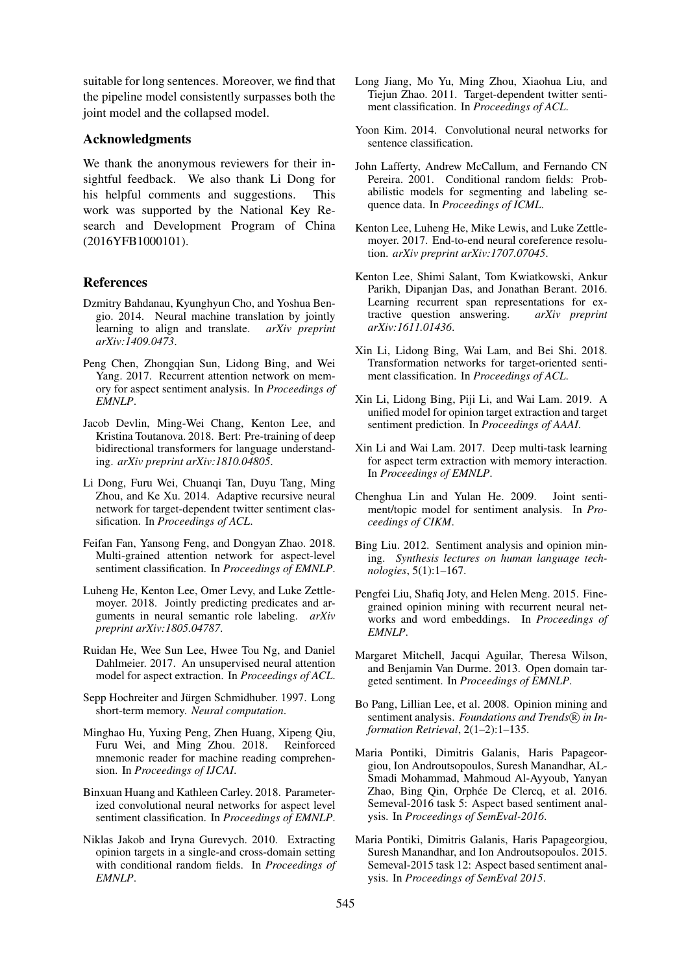suitable for long sentences. Moreover, we find that the pipeline model consistently surpasses both the joint model and the collapsed model.

# Acknowledgments

We thank the anonymous reviewers for their insightful feedback. We also thank Li Dong for his helpful comments and suggestions. This work was supported by the National Key Research and Development Program of China (2016YFB1000101).

## References

- Dzmitry Bahdanau, Kyunghyun Cho, and Yoshua Bengio. 2014. Neural machine translation by jointly learning to align and translate. *arXiv preprint arXiv:1409.0473*.
- Peng Chen, Zhongqian Sun, Lidong Bing, and Wei Yang. 2017. Recurrent attention network on memory for aspect sentiment analysis. In *Proceedings of EMNLP*.
- Jacob Devlin, Ming-Wei Chang, Kenton Lee, and Kristina Toutanova. 2018. Bert: Pre-training of deep bidirectional transformers for language understanding. *arXiv preprint arXiv:1810.04805*.
- Li Dong, Furu Wei, Chuanqi Tan, Duyu Tang, Ming Zhou, and Ke Xu. 2014. Adaptive recursive neural network for target-dependent twitter sentiment classification. In *Proceedings of ACL*.
- Feifan Fan, Yansong Feng, and Dongyan Zhao. 2018. Multi-grained attention network for aspect-level sentiment classification. In *Proceedings of EMNLP*.
- Luheng He, Kenton Lee, Omer Levy, and Luke Zettlemoyer. 2018. Jointly predicting predicates and arguments in neural semantic role labeling. *arXiv preprint arXiv:1805.04787*.
- Ruidan He, Wee Sun Lee, Hwee Tou Ng, and Daniel Dahlmeier. 2017. An unsupervised neural attention model for aspect extraction. In *Proceedings of ACL*.
- Sepp Hochreiter and Jürgen Schmidhuber. 1997. Long short-term memory. *Neural computation*.
- Minghao Hu, Yuxing Peng, Zhen Huang, Xipeng Qiu, Furu Wei, and Ming Zhou. 2018. Reinforced mnemonic reader for machine reading comprehension. In *Proceedings of IJCAI*.
- Binxuan Huang and Kathleen Carley. 2018. Parameterized convolutional neural networks for aspect level sentiment classification. In *Proceedings of EMNLP*.
- Niklas Jakob and Iryna Gurevych. 2010. Extracting opinion targets in a single-and cross-domain setting with conditional random fields. In *Proceedings of EMNLP*.
- Long Jiang, Mo Yu, Ming Zhou, Xiaohua Liu, and Tiejun Zhao. 2011. Target-dependent twitter sentiment classification. In *Proceedings of ACL*.
- Yoon Kim. 2014. Convolutional neural networks for sentence classification.
- John Lafferty, Andrew McCallum, and Fernando CN Pereira. 2001. Conditional random fields: Probabilistic models for segmenting and labeling sequence data. In *Proceedings of ICML*.
- Kenton Lee, Luheng He, Mike Lewis, and Luke Zettlemoyer. 2017. End-to-end neural coreference resolution. *arXiv preprint arXiv:1707.07045*.
- Kenton Lee, Shimi Salant, Tom Kwiatkowski, Ankur Parikh, Dipanjan Das, and Jonathan Berant. 2016. Learning recurrent span representations for extractive question answering. *arXiv preprint arXiv:1611.01436*.
- Xin Li, Lidong Bing, Wai Lam, and Bei Shi. 2018. Transformation networks for target-oriented sentiment classification. In *Proceedings of ACL*.
- Xin Li, Lidong Bing, Piji Li, and Wai Lam. 2019. A unified model for opinion target extraction and target sentiment prediction. In *Proceedings of AAAI*.
- Xin Li and Wai Lam. 2017. Deep multi-task learning for aspect term extraction with memory interaction. In *Proceedings of EMNLP*.
- Chenghua Lin and Yulan He. 2009. Joint sentiment/topic model for sentiment analysis. In *Proceedings of CIKM*.
- Bing Liu. 2012. Sentiment analysis and opinion mining. *Synthesis lectures on human language technologies*, 5(1):1–167.
- Pengfei Liu, Shafiq Joty, and Helen Meng. 2015. Finegrained opinion mining with recurrent neural networks and word embeddings. In *Proceedings of EMNLP*.
- Margaret Mitchell, Jacqui Aguilar, Theresa Wilson, and Benjamin Van Durme. 2013. Open domain targeted sentiment. In *Proceedings of EMNLP*.
- Bo Pang, Lillian Lee, et al. 2008. Opinion mining and sentiment analysis. *Foundations and Trends* $(\mathbb{R})$  *in Information Retrieval*, 2(1–2):1–135.
- Maria Pontiki, Dimitris Galanis, Haris Papageorgiou, Ion Androutsopoulos, Suresh Manandhar, AL-Smadi Mohammad, Mahmoud Al-Ayyoub, Yanyan Zhao, Bing Qin, Orphée De Clercq, et al. 2016. Semeval-2016 task 5: Aspect based sentiment analysis. In *Proceedings of SemEval-2016*.
- Maria Pontiki, Dimitris Galanis, Haris Papageorgiou, Suresh Manandhar, and Ion Androutsopoulos. 2015. Semeval-2015 task 12: Aspect based sentiment analysis. In *Proceedings of SemEval 2015*.